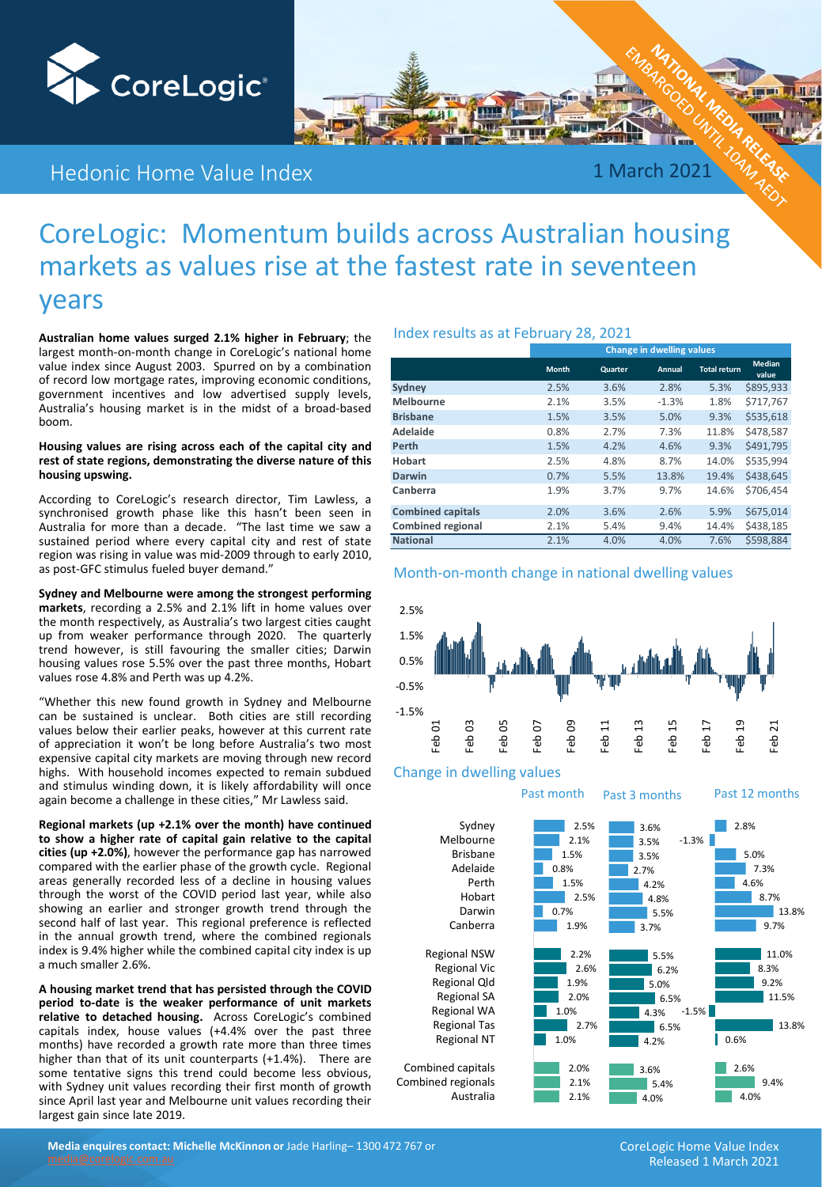

## Hedonic Home Value Index

1 March 2021

## CoreLogic: Momentum builds across Australian housing markets as values rise at the fastest rate in seventeen years

**Australian home values surged 2.1% higher in February**; the largest month-on-month change in CoreLogic's national home value index since August 2003. Spurred on by a combination of record low mortgage rates, improving economic conditions, government incentives and low advertised supply levels, Australia's housing market is in the midst of a broad-based boom.

#### **Housing values are rising across each of the capital city and rest of state regions, demonstrating the diverse nature of this housing upswing.**

According to CoreLogic's research director, Tim Lawless, a synchronised growth phase like this hasn't been seen in Australia for more than a decade. "The last time we saw a sustained period where every capital city and rest of state region was rising in value was mid-2009 through to early 2010, as post-GFC stimulus fueled buyer demand."

**Sydney and Melbourne were among the strongest performing markets**, recording a 2.5% and 2.1% lift in home values over the month respectively, as Australia's two largest cities caught up from weaker performance through 2020. The quarterly trend however, is still favouring the smaller cities; Darwin housing values rose 5.5% over the past three months, Hobart values rose 4.8% and Perth was up 4.2%.

"Whether this new found growth in Sydney and Melbourne can be sustained is unclear. Both cities are still recording values below their earlier peaks, however at this current rate of appreciation it won't be long before Australia's two most expensive capital city markets are moving through new record highs. With household incomes expected to remain subdued and stimulus winding down, it is likely affordability will once again become a challenge in these cities," Mr Lawless said.

**Regional markets (up +2.1% over the month) have continued to show a higher rate of capital gain relative to the capital cities (up +2.0%)**, however the performance gap has narrowed compared with the earlier phase of the growth cycle. Regional areas generally recorded less of a decline in housing values through the worst of the COVID period last year, while also showing an earlier and stronger growth trend through the second half of last year. This regional preference is reflected in the annual growth trend, where the combined regionals index is 9.4% higher while the combined capital city index is up a much smaller 2.6%.

**A housing market trend that has persisted through the COVID period to-date is the weaker performance of unit markets relative to detached housing.** Across CoreLogic's combined capitals index, house values (+4.4% over the past three months) have recorded a growth rate more than three times higher than that of its unit counterparts (+1.4%). There are some tentative signs this trend could become less obvious, with Sydney unit values recording their first month of growth since April last year and Melbourne unit values recording their largest gain since late 2019.

### Index results as at February 28, 2021

|                          | <b>Change in dwelling values</b> |         |         |                     |                        |  |  |  |  |  |  |  |
|--------------------------|----------------------------------|---------|---------|---------------------|------------------------|--|--|--|--|--|--|--|
|                          | <b>Month</b>                     | Quarter | Annual  | <b>Total return</b> | <b>Median</b><br>value |  |  |  |  |  |  |  |
| Sydney                   | 2.5%                             | 3.6%    | 2.8%    | 5.3%                | \$895,933              |  |  |  |  |  |  |  |
| <b>Melbourne</b>         | 2.1%                             | 3.5%    | $-1.3%$ | 1.8%                | \$717.767              |  |  |  |  |  |  |  |
| <b>Brisbane</b>          | 1.5%                             | 3.5%    | 5.0%    | 9.3%                | \$535,618              |  |  |  |  |  |  |  |
| Adelaide                 | 0.8%                             | 2.7%    | 7.3%    | 11.8%               | \$478,587              |  |  |  |  |  |  |  |
| Perth                    | 1.5%                             | 4.2%    | 4.6%    | 9.3%                | \$491,795              |  |  |  |  |  |  |  |
| Hobart                   | 2.5%                             | 4.8%    | 8.7%    | 14.0%               | \$535.994              |  |  |  |  |  |  |  |
| Darwin                   | 0.7%                             | 5.5%    | 13.8%   | 19.4%               | \$438,645              |  |  |  |  |  |  |  |
| Canberra                 | 1.9%                             | 3.7%    | 9.7%    | 14.6%               | \$706.454              |  |  |  |  |  |  |  |
| <b>Combined capitals</b> | 2.0%                             | 3.6%    | 2.6%    | 5.9%                | \$675,014              |  |  |  |  |  |  |  |
| <b>Combined regional</b> | 2.1%                             | 5.4%    | 9.4%    | 14.4%               | \$438.185              |  |  |  |  |  |  |  |
| <b>National</b>          | 2.1%                             | 4.0%    | 4.0%    | 7.6%                | \$598.884              |  |  |  |  |  |  |  |

### Month-on-month change in national dwelling values



### Change in dwelling values

Past month Past 3 months Past 12 months



**Media enquires contact: Michelle McKinnon or** Jade Harling– 1300 472 767 or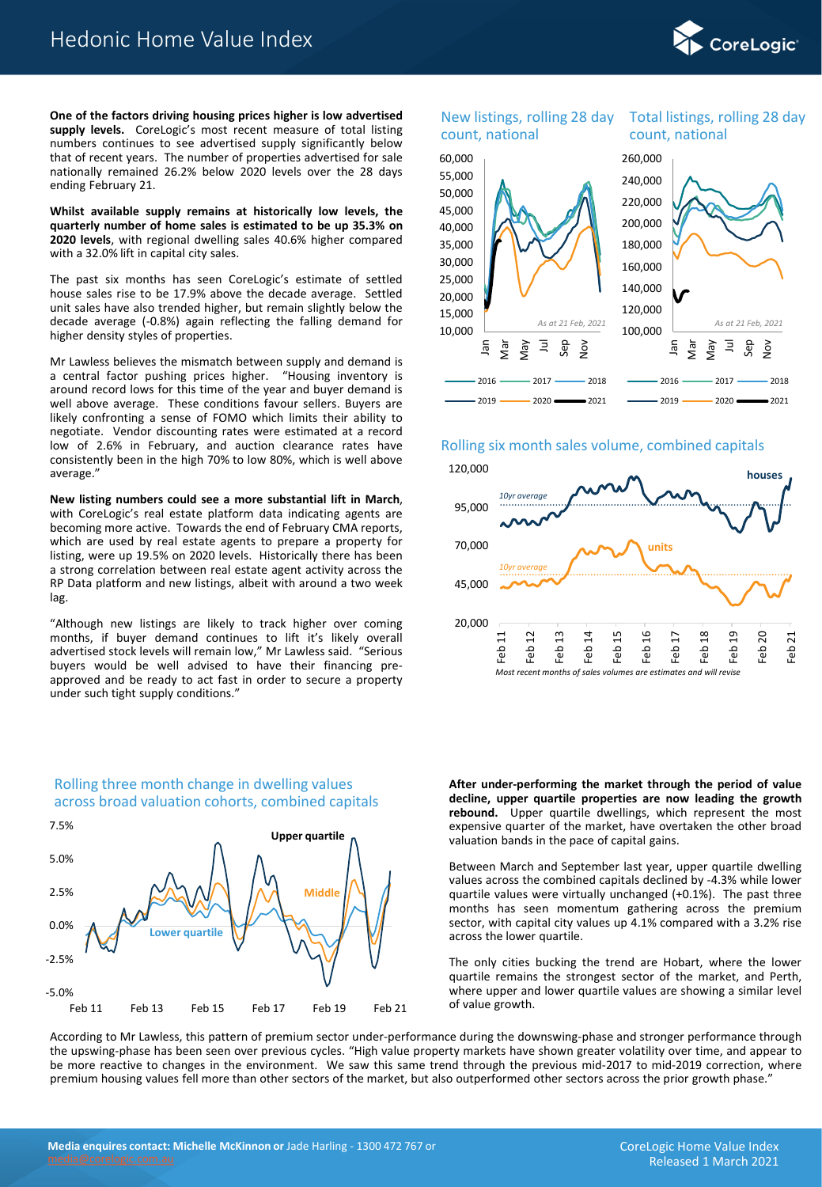

**One of the factors driving housing prices higher is low advertised supply levels.** CoreLogic's most recent measure of total listing numbers continues to see advertised supply significantly below that of recent years. The number of properties advertised for sale nationally remained 26.2% below 2020 levels over the 28 days ending February 21.

**Whilst available supply remains at historically low levels, the quarterly number of home sales is estimated to be up 35.3% on 2020 levels**, with regional dwelling sales 40.6% higher compared with a 32.0% lift in capital city sales.

The past six months has seen CoreLogic's estimate of settled house sales rise to be 17.9% above the decade average. Settled unit sales have also trended higher, but remain slightly below the decade average (-0.8%) again reflecting the falling demand for higher density styles of properties.

Mr Lawless believes the mismatch between supply and demand is a central factor pushing prices higher. "Housing inventory is around record lows for this time of the year and buyer demand is well above average. These conditions favour sellers. Buyers are likely confronting a sense of FOMO which limits their ability to negotiate. Vendor discounting rates were estimated at a record low of 2.6% in February, and auction clearance rates have consistently been in the high 70% to low 80%, which is well above average."

**New listing numbers could see a more substantial lift in March**, with CoreLogic's real estate platform data indicating agents are becoming more active. Towards the end of February CMA reports, which are used by real estate agents to prepare a property for listing, were up 19.5% on 2020 levels. Historically there has been a strong correlation between real estate agent activity across the RP Data platform and new listings, albeit with around a two week lag.

"Although new listings are likely to track higher over coming months, if buyer demand continues to lift it's likely overall advertised stock levels will remain low," Mr Lawless said. "Serious buyers would be well advised to have their financing preapproved and be ready to act fast in order to secure a property under such tight supply conditions."



### Rolling three month change in dwelling values across broad valuation cohorts, combined capitals

# count, national

### New listings, rolling 28 day Total listings, rolling 28 day count, national



### Rolling six month sales volume, combined capitals



**After under-performing the market through the period of value decline, upper quartile properties are now leading the growth rebound.** Upper quartile dwellings, which represent the most expensive quarter of the market, have overtaken the other broad valuation bands in the pace of capital gains.

Between March and September last year, upper quartile dwelling values across the combined capitals declined by -4.3% while lower quartile values were virtually unchanged (+0.1%). The past three months has seen momentum gathering across the premium sector, with capital city values up 4.1% compared with a 3.2% rise across the lower quartile.

The only cities bucking the trend are Hobart, where the lower quartile remains the strongest sector of the market, and Perth, where upper and lower quartile values are showing a similar level of value growth.

According to Mr Lawless, this pattern of premium sector under-performance during the downswing-phase and stronger performance through the upswing-phase has been seen over previous cycles. "High value property markets have shown greater volatility over time, and appear to be more reactive to changes in the environment. We saw this same trend through the previous mid-2017 to mid-2019 correction, where premium housing values fell more than other sectors of the market, but also outperformed other sectors across the prior growth phase."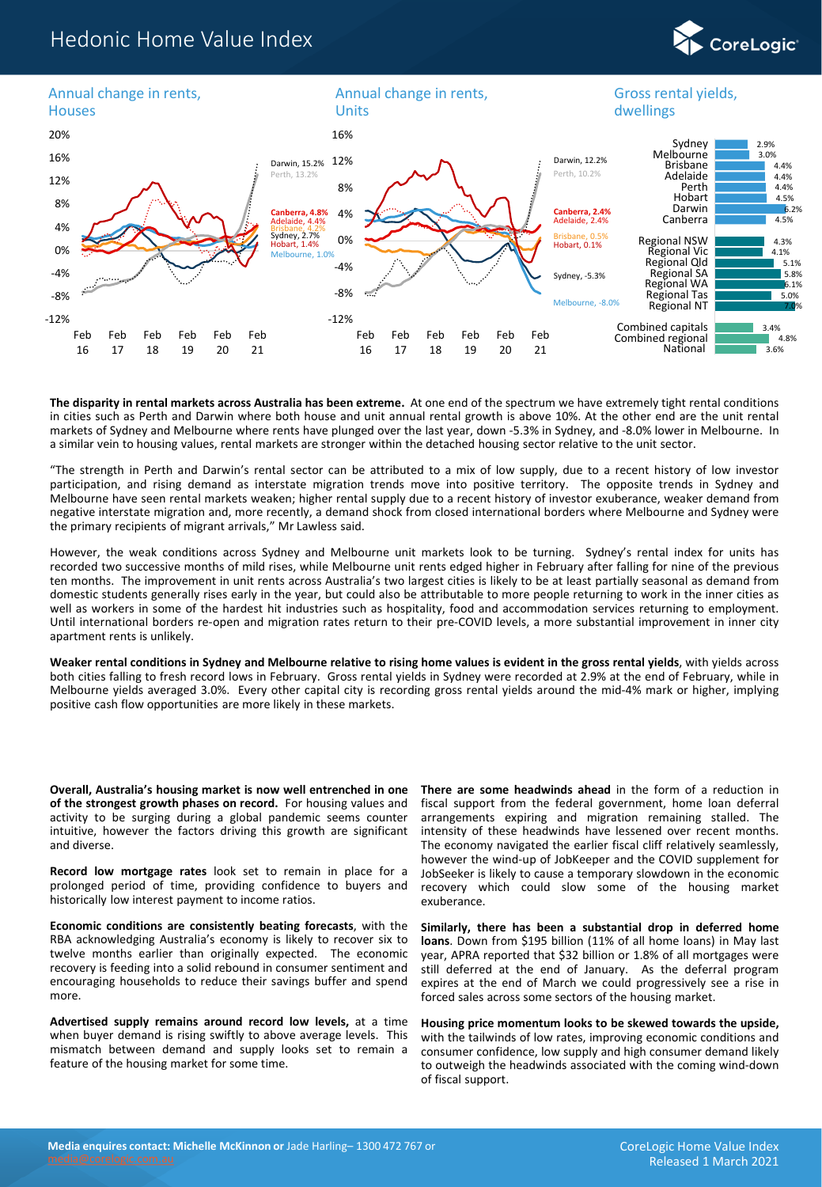### Hedonic Home Value Index



**The disparity in rental markets across Australia has been extreme.** At one end of the spectrum we have extremely tight rental conditions in cities such as Perth and Darwin where both house and unit annual rental growth is above 10%. At the other end are the unit rental markets of Sydney and Melbourne where rents have plunged over the last year, down -5.3% in Sydney, and -8.0% lower in Melbourne. In a similar vein to housing values, rental markets are stronger within the detached housing sector relative to the unit sector.

"The strength in Perth and Darwin's rental sector can be attributed to a mix of low supply, due to a recent history of low investor participation, and rising demand as interstate migration trends move into positive territory. The opposite trends in Sydney and Melbourne have seen rental markets weaken; higher rental supply due to a recent history of investor exuberance, weaker demand from negative interstate migration and, more recently, a demand shock from closed international borders where Melbourne and Sydney were the primary recipients of migrant arrivals," Mr Lawless said.

However, the weak conditions across Sydney and Melbourne unit markets look to be turning. Sydney's rental index for units has recorded two successive months of mild rises, while Melbourne unit rents edged higher in February after falling for nine of the previous ten months. The improvement in unit rents across Australia's two largest cities is likely to be at least partially seasonal as demand from domestic students generally rises early in the year, but could also be attributable to more people returning to work in the inner cities as well as workers in some of the hardest hit industries such as hospitality, food and accommodation services returning to employment. Until international borders re-open and migration rates return to their pre-COVID levels, a more substantial improvement in inner city apartment rents is unlikely.

Weaker rental conditions in Sydney and Melbourne relative to rising home values is evident in the gross rental yields, with yields across both cities falling to fresh record lows in February. Gross rental yields in Sydney were recorded at 2.9% at the end of February, while in Melbourne yields averaged 3.0%. Every other capital city is recording gross rental yields around the mid-4% mark or higher, implying positive cash flow opportunities are more likely in these markets.

**Overall, Australia's housing market is now well entrenched in one of the strongest growth phases on record.** For housing values and activity to be surging during a global pandemic seems counter intuitive, however the factors driving this growth are significant and diverse.

**Record low mortgage rates** look set to remain in place for a prolonged period of time, providing confidence to buyers and historically low interest payment to income ratios.

**Economic conditions are consistently beating forecasts**, with the RBA acknowledging Australia's economy is likely to recover six to twelve months earlier than originally expected. The economic recovery is feeding into a solid rebound in consumer sentiment and encouraging households to reduce their savings buffer and spend more.

**Advertised supply remains around record low levels,** at a time when buyer demand is rising swiftly to above average levels. This mismatch between demand and supply looks set to remain a feature of the housing market for some time.

**There are some headwinds ahead** in the form of a reduction in fiscal support from the federal government, home loan deferral arrangements expiring and migration remaining stalled. The intensity of these headwinds have lessened over recent months. The economy navigated the earlier fiscal cliff relatively seamlessly, however the wind-up of JobKeeper and the COVID supplement for JobSeeker is likely to cause a temporary slowdown in the economic recovery which could slow some of the housing market exuberance.

**Similarly, there has been a substantial drop in deferred home loans**. Down from \$195 billion (11% of all home loans) in May last year, APRA reported that \$32 billion or 1.8% of all mortgages were still deferred at the end of January. As the deferral program expires at the end of March we could progressively see a rise in forced sales across some sectors of the housing market.

**Housing price momentum looks to be skewed towards the upside,** with the tailwinds of low rates, improving economic conditions and consumer confidence, low supply and high consumer demand likely to outweigh the headwinds associated with the coming wind-down of fiscal support.